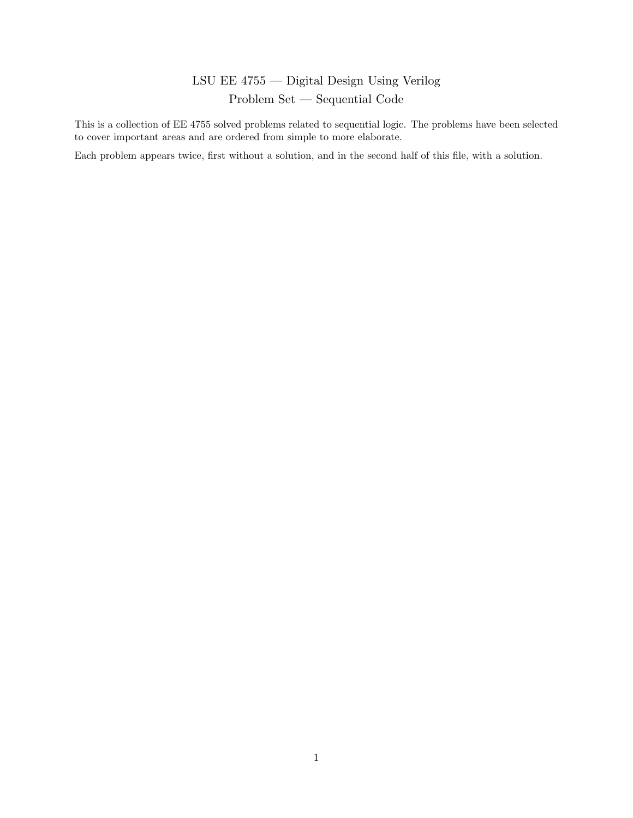# LSU EE 4755 — Digital Design Using Verilog Problem Set — Sequential Code

This is a collection of EE 4755 solved problems related to sequential logic. The problems have been selected to cover important areas and are ordered from simple to more elaborate.

Each problem appears twice, first without a solution, and in the second half of this file, with a solution.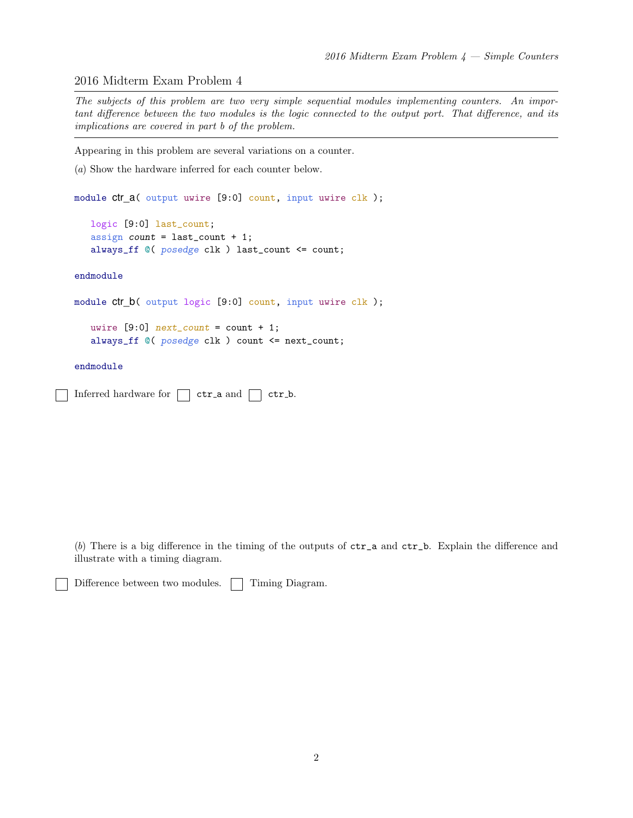### 2016 Midterm Exam Problem 4

The subjects of this problem are two very simple sequential modules implementing counters. An important difference between the two modules is the logic connected to the output port. That difference, and its implications are covered in part b of the problem.

Appearing in this problem are several variations on a counter.

```
(a) Show the hardware inferred for each counter below.
```

```
module ctr_a( output uwire [9:0] count, input uwire clk );
```

```
logic [9:0] last_count;
assign count = last_count + 1;
always_ff @( posedge clk ) last_count <= count;
```
### endmodule

```
module ctr_b( output logic [9:0] count, input uwire clk );
```

```
uwire [9:0] next_count = count + 1;
always_ff @( posedge clk ) count <= next_count;
```
### endmodule

```
Inferred hardware for \Box ctr<sub>-</sub>a and \Box ctr<sub>-</sub>b.
```
(b) There is a big difference in the timing of the outputs of  $\text{ctr}_a$  and  $\text{ctr}_b$ . Explain the difference and illustrate with a timing diagram.

```
Difference between two modules. Timing Diagram.
```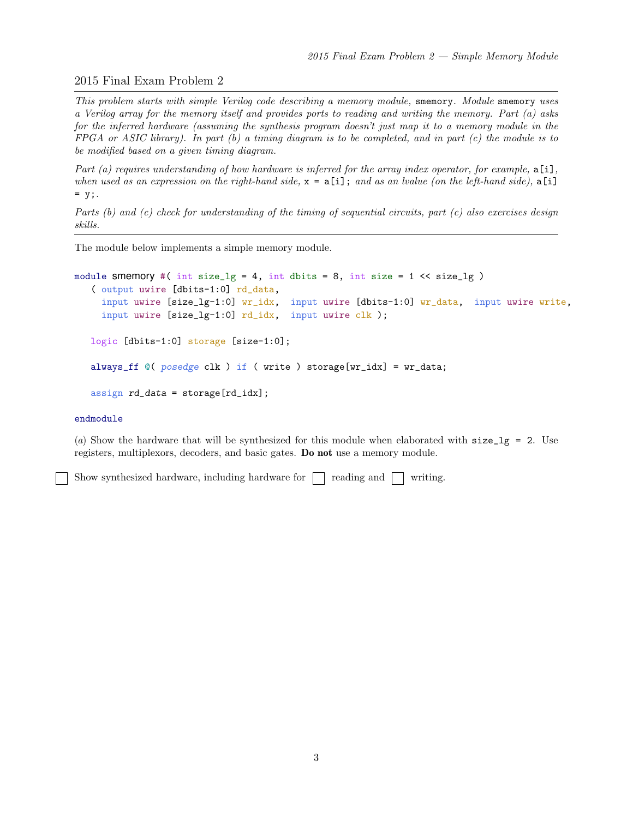# 2015 Final Exam Problem 2

This problem starts with simple Verilog code describing a memory module, smemory. Module smemory uses a Verilog array for the memory itself and provides ports to reading and writing the memory. Part (a) asks for the inferred hardware (assuming the synthesis program doesn't just map it to a memory module in the FPGA or ASIC library). In part  $(b)$  a timing diagram is to be completed, and in part  $(c)$  the module is to be modified based on a given timing diagram.

Part (a) requires understanding of how hardware is inferred for the array index operator, for example,  $a[i]$ , when used as an expression on the right-hand side,  $x = a[i]$ ; and as an lvalue (on the left-hand side),  $a[i]$  $= y;$ .

Parts (b) and (c) check for understanding of the timing of sequential circuits, part (c) also exercises design skills.

The module below implements a simple memory module.

```
module smemory #( int size_lg = 4, int dbits = 8, int size = 1 \leq s ize_lg )
   ( output uwire [dbits-1:0] rd_data,
     input uwire [size_lq-1:0] wr_idx, input uwire [dbits-1:0] wr_data, input uwire write,
     input uwire [size_lg-1:0] rd_idx, input uwire clk );
   logic [dbits-1:0] storage [size-1:0];
   always_ff @( posedge clk ) if ( write ) storage[wr_idx] = wr_data;
   assign rd\_data = store[rd\_idx];
```
### endmodule

(a) Show the hardware that will be synthesized for this module when elaborated with  $size\_lg = 2$ . Use registers, multiplexors, decoders, and basic gates. Do not use a memory module.

Show synthesized hardware, including hardware for  $\Box$  reading and  $\Box$  writing.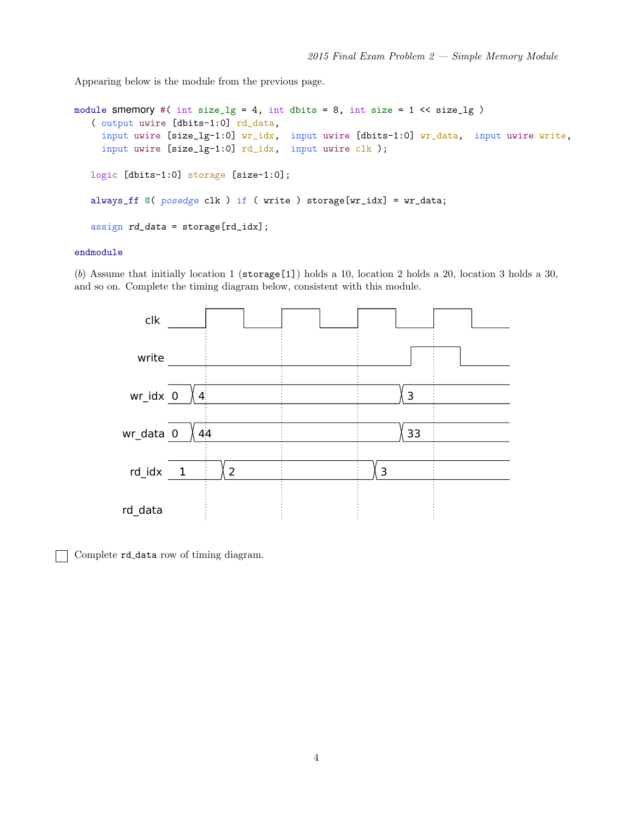Appearing below is the module from the previous page.

```
module smemory #( int size_lg = 4, int dbits = 8, int size = 1 << size_lg )
   ( output uwire [dbits-1:0] rd_data,
     input uwire [size_lg-1:0] wr_idx, input uwire [dbits-1:0] wr_data, input uwire write,
     input uwire [size_lg-1:0] rd_idx, input uwire clk );
   logic [dbits-1:0] storage [size-1:0];
   always_ff @( posedge clk ) if ( write ) storage[wr_idx] = wr_data;
   assign rd_data = storage[rd_idx];
```
### endmodule

(b) Assume that initially location 1 ( $\frac{\epsilon}{1}$ ) holds a 10, location 2 holds a 20, location 3 holds a 30, and so on. Complete the timing diagram below, consistent with this module.



Complete rd data row of timing diagram.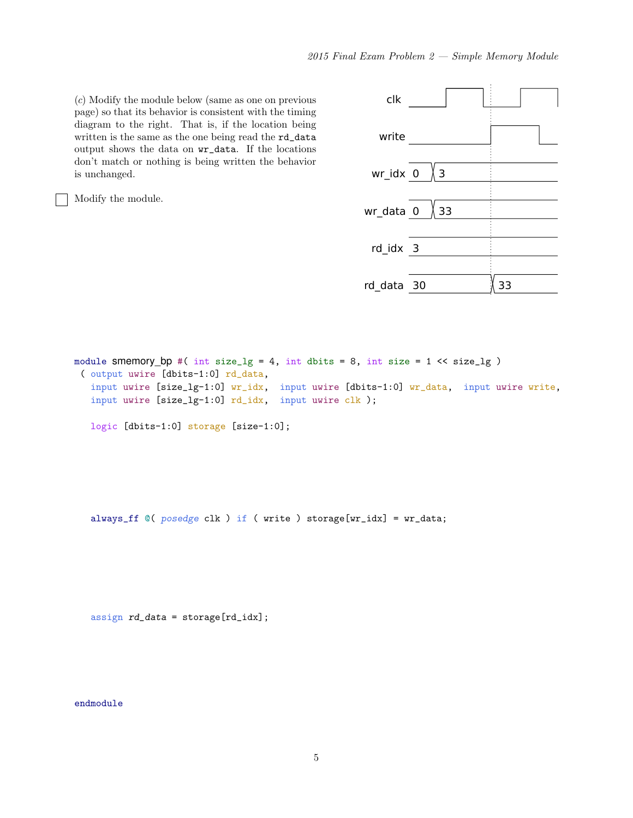(c) Modify the module below (same as one on previous page) so that its behavior is consistent with the timing diagram to the right. That is, if the location being written is the same as the one being read the rd\_data output shows the data on wr\_data. If the locations don't match or nothing is being written the behavior is unchanged.

Modify the module.

| clk        |    |    |  |
|------------|----|----|--|
| write      |    |    |  |
| wr idx 0   | Χз |    |  |
| wr_data 0  | 33 |    |  |
| rd_idx 3   |    |    |  |
| rd data 30 |    | 33 |  |

module smemory\_bp #( int size\_lg = 4, int dbits = 8, int size =  $1 \leq s$  ize\_lg ) ( output uwire [dbits-1:0] rd\_data, input uwire [size\_lg-1:0] wr\_idx, input uwire [dbits-1:0] wr\_data, input uwire write, input uwire [size\_lg-1:0] rd\_idx, input uwire clk ); logic [dbits-1:0] storage [size-1:0];

always\_ff @( posedge clk ) if ( write ) storage[wr\_idx] = wr\_data;

assign rd\_data = storage[rd\_idx];

endmodule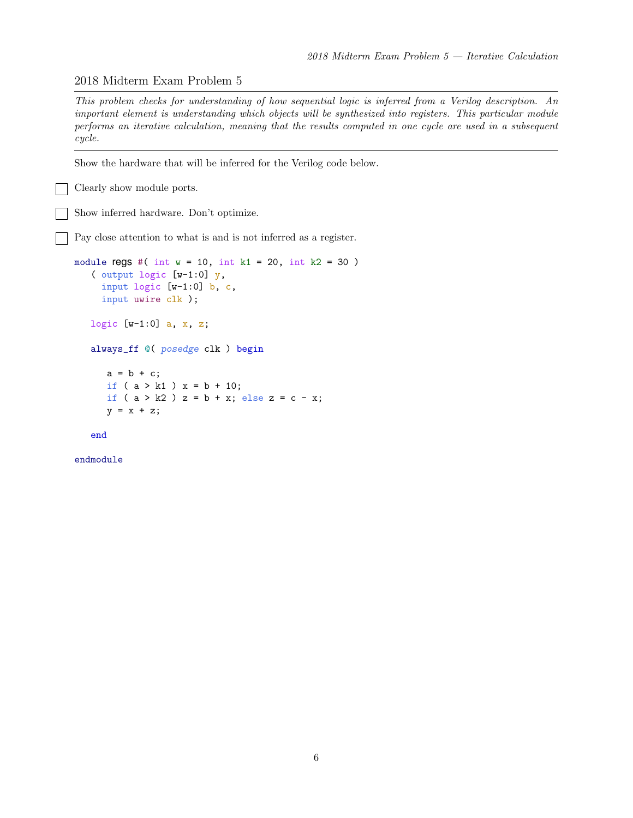### 2018 Midterm Exam Problem 5

This problem checks for understanding of how sequential logic is inferred from a Verilog description. An important element is understanding which objects will be synthesized into registers. This particular module performs an iterative calculation, meaning that the results computed in one cycle are used in a subsequent cycle.

Show the hardware that will be inferred for the Verilog code below.

Clearly show module ports.

Show inferred hardware. Don't optimize.

Pay close attention to what is and is not inferred as a register.

```
module regs #( int w = 10, int k1 = 20, int k2 = 30 )
   ( output logic [w-1:0] y,
     input logic [w-1:0] b, c,
     input uwire clk );
   logic [w-1:0] a, x, z;
   always_ff @( posedge clk ) begin
      a = b + c;
      if ( a > k1 ) x = b + 10;
      if ( a > k2 ) z = b + x; else z = c - x;
      y = x + z;
```
end

endmodule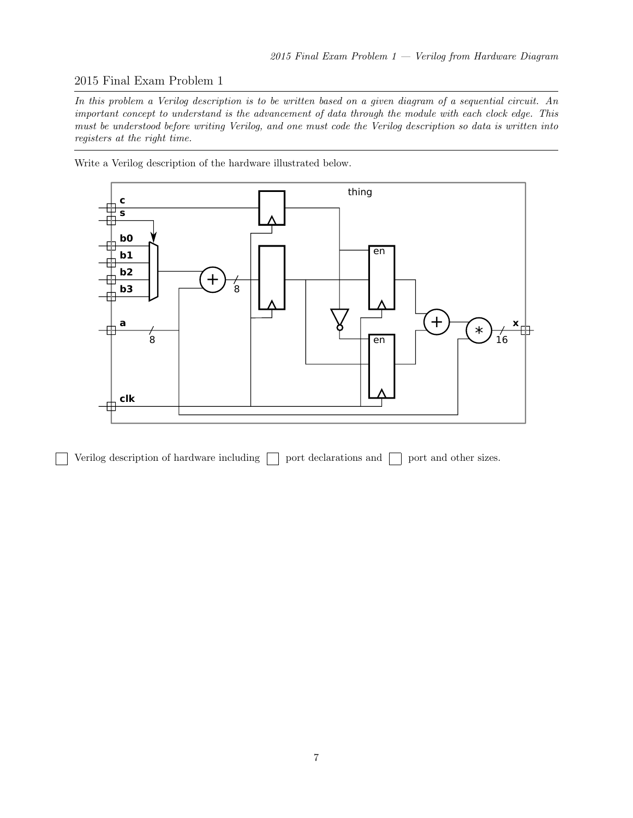# 2015 Final Exam Problem 1

In this problem a Verilog description is to be written based on a given diagram of a sequential circuit. An important concept to understand is the advancement of data through the module with each clock edge. This must be understood before writing Verilog, and one must code the Verilog description so data is written into registers at the right time.

Write a Verilog description of the hardware illustrated below.



Verilog description of hardware including  $\Box$  port declarations and  $\Box$  port and other sizes.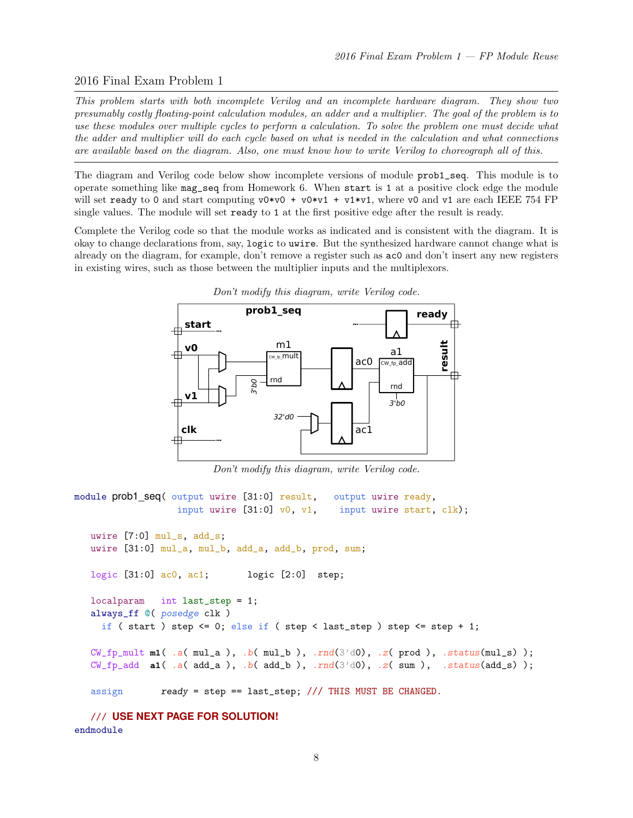# 2016 Final Exam Problem 1

This problem starts with both incomplete Verilog and an incomplete hardware diagram. They show two presumably costly floating-point calculation modules, an adder and a multiplier. The goal of the problem is to use these modules over multiple cycles to perform a calculation. To solve the problem one must decide what the adder and multiplier will do each cycle based on what is needed in the calculation and what connections are available based on the diagram. Also, one must know how to write Verilog to choreograph all of this.

The diagram and Verilog code below show incomplete versions of module prob1\_seq. This module is to operate something like mag\_seq from Homework 6. When start is 1 at a positive clock edge the module will set ready to 0 and start computing  $v0*v0 + v0*v1 + v1*v1$ , where v0 and v1 are each IEEE 754 FP single values. The module will set ready to 1 at the first positive edge after the result is ready.

Complete the Verilog code so that the module works as indicated and is consistent with the diagram. It is okay to change declarations from, say, logic to uwire. But the synthesized hardware cannot change what is already on the diagram, for example, don't remove a register such as ac0 and don't insert any new registers in existing wires, such as those between the multiplier inputs and the multiplexors.



Don't modify this diagram, write Verilog code.

Don't modify this diagram, write Verilog code.

```
module prob1 seq( output uwire [31:0] result, output uwire ready,
                  input uwire [31:0] v0, v1, input uwire start, clk);
  uwire [7:0] mul_s, add_s;
  uwire [31:0] mul_a, mul_b, add_a, add_b, prod, sum;
  logic [31:0] ac0, ac1; logic [2:0] step;
  localparam int last_step = 1;
  always_ff @( posedge clk )
    if (start ) step \leq 0; else if (step \leq last_step ) step \leq step + 1;
  CW\_fp\_mult ml( .a(mul\_a), .b(mul\_b), .rnd(3'd0), .z(prod), .status(mul\_s));
  CW\_fp\_add a1( .a( add\_a), .b( add\_b), .rnd(3'd0), .z( sum), .status(add\_s));
   assign ready = step == last_step; /// THIS MUST BE CHANGED.
```
/// **USE NEXT PAGE FOR SOLUTION!** endmodule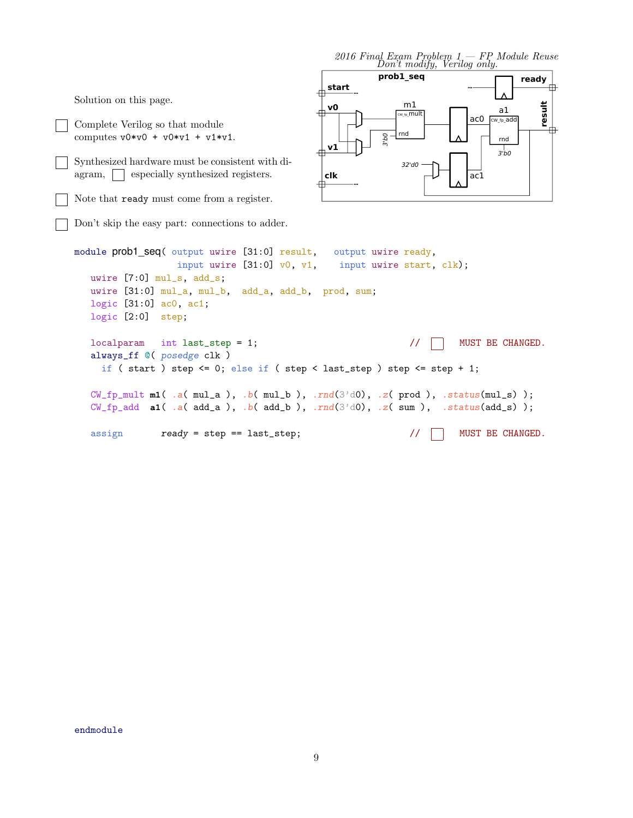2016 Final Exam Problem  $1 - FP$  Module Reuse<br>Don't modify, Verilog only. **prob1\_seq ready start** 曲 m1 **v0**

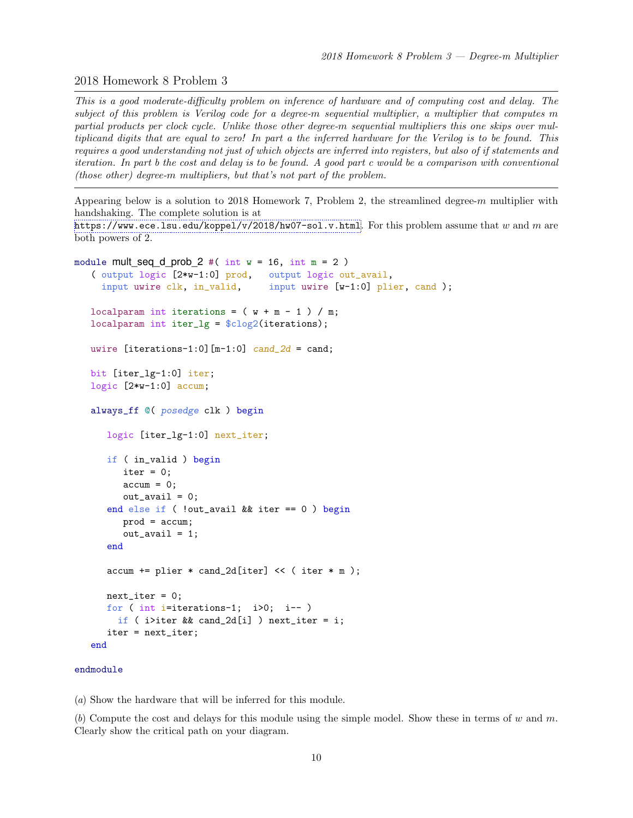# 2018 Homework 8 Problem 3

This is a good moderate-difficulty problem on inference of hardware and of computing cost and delay. The subject of this problem is Verilog code for a degree-m sequential multiplier, a multiplier that computes m partial products per clock cycle. Unlike those other degree-m sequential multipliers this one skips over multiplicand digits that are equal to zero! In part a the inferred hardware for the Verilog is to be found. This requires a good understanding not just of which objects are inferred into registers, but also of if statements and iteration. In part b the cost and delay is to be found. A good part c would be a comparison with conventional (those other) degree-m multipliers, but that's not part of the problem.

Appearing below is a solution to 2018 Homework 7, Problem 2, the streamlined degree-m multiplier with handshaking. The complete solution is at

<https://www.ece.lsu.edu/koppel/v/2018/hw07-sol.v.html>. For this problem assume that w and m are both powers of 2.

```
module mult_seq_d_prob_2 #( int w = 16, int m = 2 )
   ( output logic [2*w-1:0] prod, output logic out_avail,
     input uwire clk, in_valid, input uwire [w-1:0] plier, cand );
   localparam int iterations = (w + m - 1) / m;
   localparam int iter_lg = \frac{\cosh(2)}{\cosh(2)} (iterations);
   uwire [iterations -1:0] [m-1:0] cand_2d = cand;
   bit [iter_lg-1:0] iter;
   logic [2*w-1:0] accum;
   always_ff @( posedge clk ) begin
      logic [iter_lg-1:0] next_iter;
      if ( in_valid ) begin
         iter = 0;\text{accum} = 0;
         out<sub>_avail</sub> = 0;
      end else if ( !out_avail && iter == 0 ) begin
         prod = accum;
         out_avail = 1;
      end
      \text{accum} += plier * cand_2d[iter] << ( iter * m );
      next\_iter = 0;for ( int i=iterations-1; i>0; i-- )
        if ( i>iter && cand_2d[i] ) next_iter = i;
      iter = next_iter;
   end
```
#### endmodule

(a) Show the hardware that will be inferred for this module.

(b) Compute the cost and delays for this module using the simple model. Show these in terms of w and m. Clearly show the critical path on your diagram.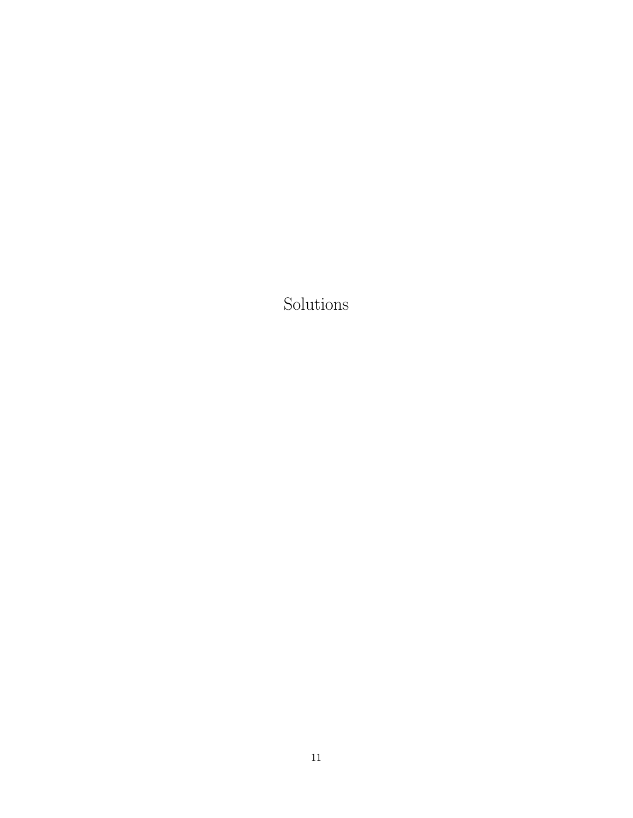Solutions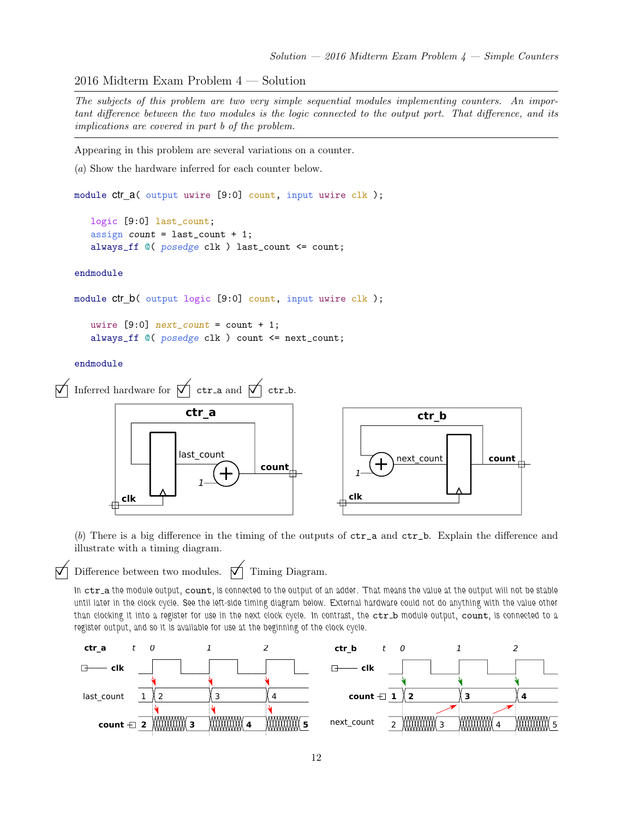2016 Midterm Exam Problem 4 — Solution

The subjects of this problem are two very simple sequential modules implementing counters. An important difference between the two modules is the logic connected to the output port. That difference, and its implications are covered in part b of the problem.

Appearing in this problem are several variations on a counter.

(a) Show the hardware inferred for each counter below.

module ctr\_a( output uwire [9:0] count, input uwire clk );

logic [9:0] last\_count; assign count =  $last_count + 1$ ; always\_ff @( posedge clk ) last\_count <= count;

endmodule

```
module ctr_b( output logic [9:0] count, input uwire clk );
```
uwire  $[9:0]$  next\_count = count + 1; always\_ff @( posedge clk ) count <= next\_count;

endmodule





(b) There is a big difference in the timing of the outputs of  $\text{ctr}_a$  and  $\text{ctr}_b$ . Explain the difference and illustrate with a timing diagram.

 $\nabla$  Difference between two modules.  $\nabla$  Timing Diagram.<br>In  $\tt{ctr\_a}$  the module output,  $\tt{count}$ , is connected to the output of an adder. That means the value at the output will not be stable until later in the clock cycle. See the left-side timing diagram below. External hardware could not do anything with the value other than clocking it into a register for use in the next clock cycle. In contrast, the ctr\_b module output, count, is connected to a register output, and so it is available for use at the beginning of the clock cycle.

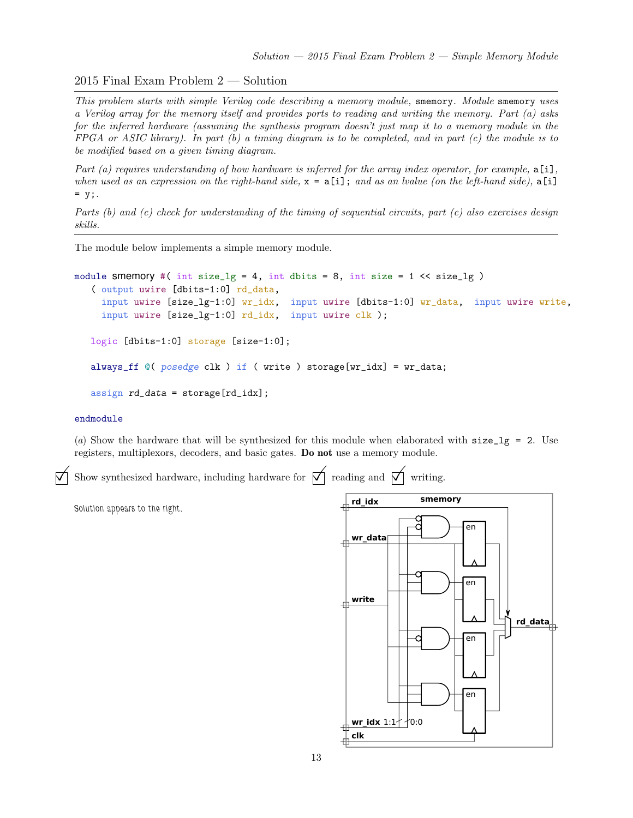2015 Final Exam Problem 2 — Solution

This problem starts with simple Verilog code describing a memory module, smemory. Module smemory uses a Verilog array for the memory itself and provides ports to reading and writing the memory. Part (a) asks for the inferred hardware (assuming the synthesis program doesn't just map it to a memory module in the  $FPGA$  or ASIC library). In part (b) a timing diagram is to be completed, and in part (c) the module is to be modified based on a given timing diagram.

Part (a) requires understanding of how hardware is inferred for the array index operator, for example,  $a[i]$ , when used as an expression on the right-hand side,  $x = a[i]$ ; and as an lvalue (on the left-hand side),  $a[i]$  $= y;$ .

Parts (b) and (c) check for understanding of the timing of sequential circuits, part (c) also exercises design skills.

The module below implements a simple memory module.

```
module smemory #( int size_lg = 4, int dbits = 8, int size = 1 \leq s ize_lg )
   ( output uwire [dbits-1:0] rd_data,
     input uwire [size_lg-1:0] wr_idx, input uwire [dbits-1:0] wr_data, input uwire write,
     input uwire [size_lg-1:0] rd_idx, input uwire clk );
   logic [dbits-1:0] storage [size-1:0];
   always_ff @( posedge clk ) if ( write ) storage[wr_idx] = wr_data;
   assign rd\_data = store[rd\_idx];
```
### endmodule

(a) Show the hardware that will be synthesized for this module when elaborated with  $size\_lg = 2$ . Use registers, multiplexors, decoders, and basic gates. Do not use a memory module.

Show synthesized hardware, including hardware for  $\vec{\nabla}$  reading and  $\vec{\nabla}$  writing.

Solution appears to the right.

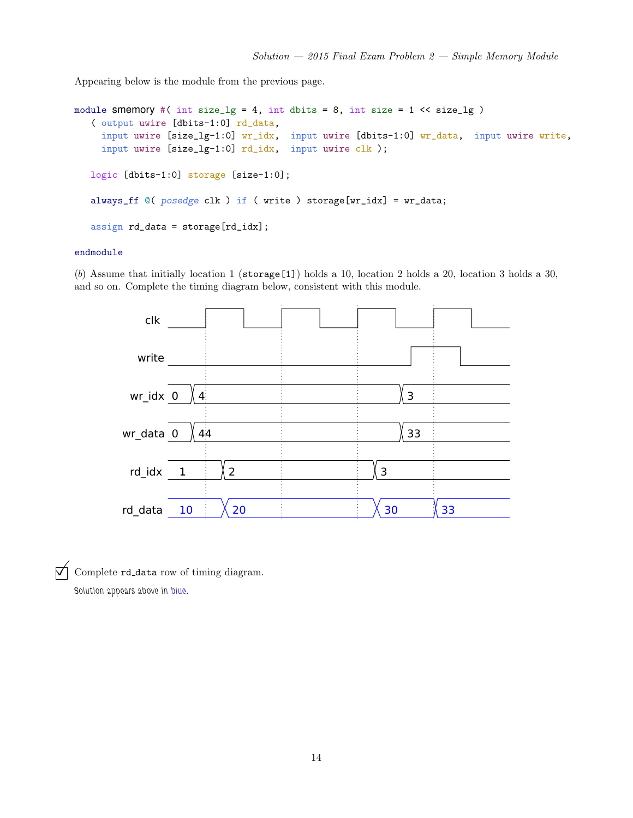Appearing below is the module from the previous page.

```
module smemory #( int size_lg = 4, int dbits = 8, int size = 1 << size_lg )
   ( output uwire [dbits-1:0] rd_data,
     input uwire [size_lg-1:0] wr_idx, input uwire [dbits-1:0] wr_data, input uwire write,
     input uwire [size_lg-1:0] rd_idx, input uwire clk );
   logic [dbits-1:0] storage [size-1:0];
   always_ff @( posedge clk ) if ( write ) storage[wr_idx] = wr_data;
   assign rd_data = storage[rd_idx];
```
### endmodule

(b) Assume that initially location 1 ( $\frac{\epsilon}{1}$ ) holds a 10, location 2 holds a 20, location 3 holds a 30, and so on. Complete the timing diagram below, consistent with this module.



 $\overrightarrow{\bigvee}$  Complete rd\_data row of timing diagram.

Solution appears above in blue.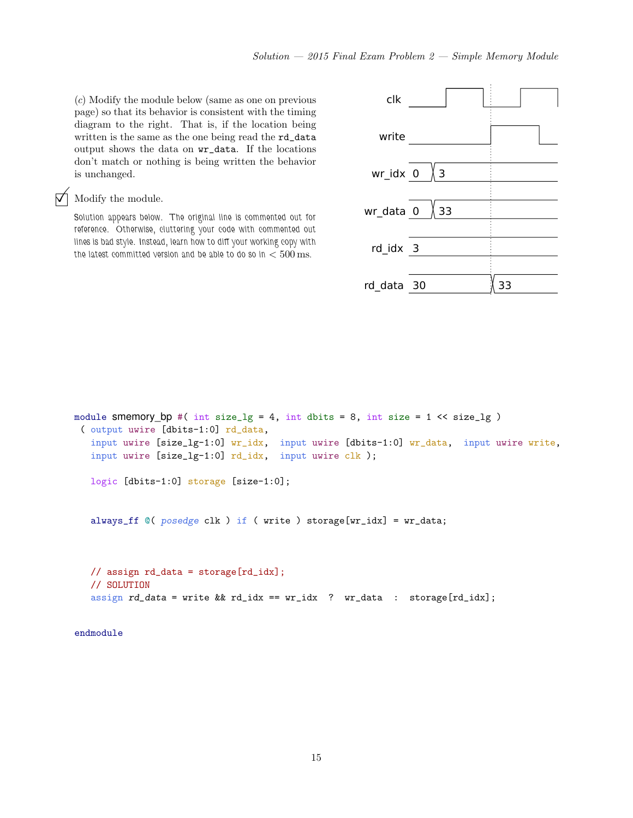(c) Modify the module below (same as one on previous page) so that its behavior is consistent with the timing diagram to the right. That is, if the location being written is the same as the one being read the rd\_data output shows the data on wr\_data. If the locations don't match or nothing is being written the behavior is unchanged.

### $\nabla$  Modify the module.

Solution appears below. The original line is commented out for reference. Otherwise, cluttering your code with commented out lines is bad style. Instead, learn how to diff your working copy with the latest committed version and be able to do so in  $< 500 \,\mathrm{ms}$ .



```
module smemory_bp #( int size_lg = 4, int dbits = 8, int size = 1 \lt size_lg )
 ( output uwire [dbits-1:0] rd_data,
   input uwire [size_lg-1:0] wr_idx, input uwire [dbits-1:0] wr_data, input uwire write,
   input uwire [size_lg-1:0] rd_idx, input uwire clk );
  logic [dbits-1:0] storage [size-1:0];
   always_ff @( posedge clk ) if ( write ) storage[wr_idx] = wr_data;
   // assign rd_data = storage[rd_idx];
   // SOLUTION
   assign rd\_data = write && rd\_idx == wr_idx ? wr_data : storage[rd\_idx];
```
endmodule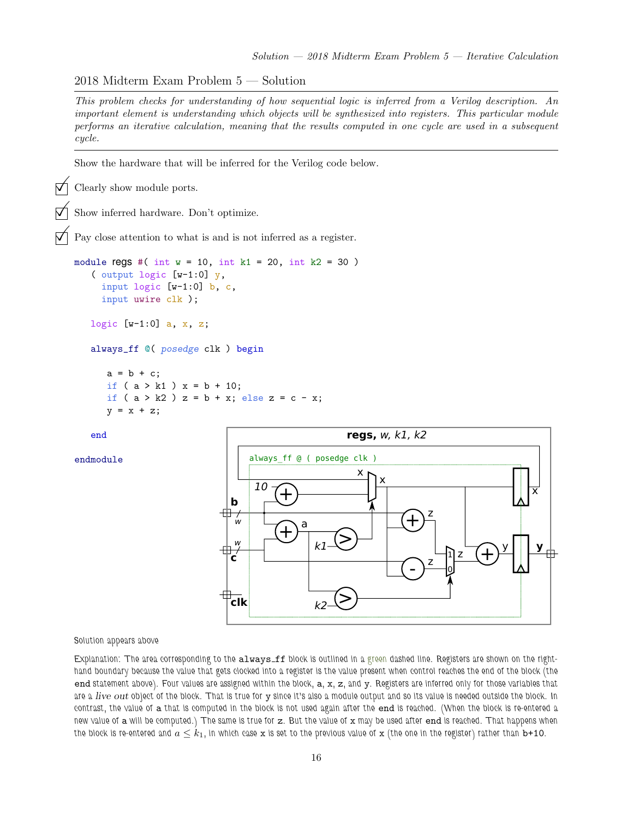2018 Midterm Exam Problem 5 — Solution

This problem checks for understanding of how sequential logic is inferred from a Verilog description. An important element is understanding which objects will be synthesized into registers. This particular module performs an iterative calculation, meaning that the results computed in one cycle are used in a subsequent cycle.

Show the hardware that will be inferred for the Verilog code below.

Clearly show module ports.

Show inferred hardware. Don't optimize.

Pay close attention to what is and is not inferred as a register.

```
module regs #( int w = 10, int k1 = 20, int k2 = 30 )
   ( output logic [w-1:0] y,
     input logic [w-1:0] b, c,
     input uwire clk );
   logic [w-1:0] a, x, z;
   always_ff @( posedge clk ) begin
      a = b + c;
      if (a > k1) x = b + 10;if ( a > k2 ) z = b + x; else z = c - x;
```
end

 $y = x + z;$ 

endmodule



Solution appears above

Explanation: The area corresponding to the always\_ff block is outlined in a green dashed line. Registers are shown on the righthand boundary because the value that gets clocked into a register is the value present when control reaches the end of the block (the end statement above). Four values are assigned within the block, a, x, z, and y. Registers are inferred only for those variables that are a live out object of the block. That is true for y since it's also a module output and so its value is needed outside the block. In contrast, the value of a that is computed in the block is not used again after the end is reached. (When the block is re-entered a new value of a will be computed.) The same is true for z. But the value of x may be used after end is reached. That happens when the block is re-entered and  $a \leq k_1$ , in which case x is set to the previous value of x (the one in the register) rather than b+10.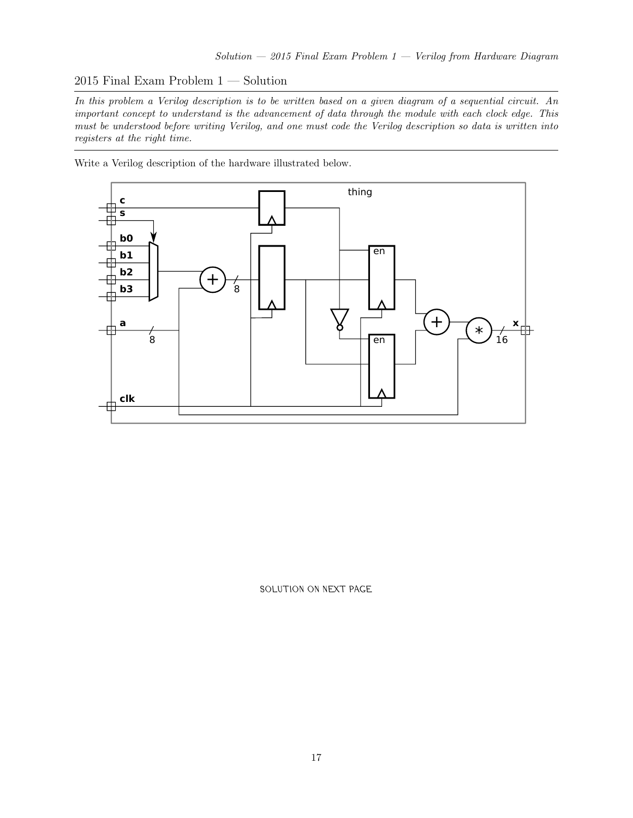# 2015 Final Exam Problem 1 — Solution

In this problem a Verilog description is to be written based on a given diagram of a sequential circuit. An important concept to understand is the advancement of data through the module with each clock edge. This must be understood before writing Verilog, and one must code the Verilog description so data is written into registers at the right time.

Write a Verilog description of the hardware illustrated below.



SOLUTION ON NEXT PAGE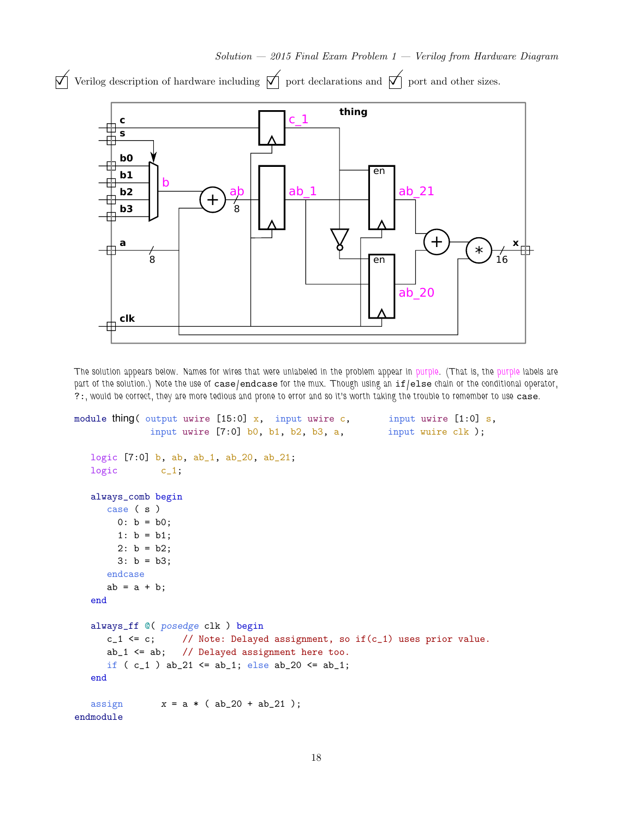

 $\forall$  Verilog description of hardware including  $\forall$  port declarations and  $\forall$  port and other sizes.

The solution appears below. Names for wires that were unlabeled in the problem appear in purple. (That is, the purple labels are part of the solution.) Note the use of case/endcase for the mux. Though using an if/else chain or the conditional operator, ?:, would be correct, they are more tedious and prone to error and so it's worth taking the trouble to remember to use case.

```
module thing( output uwire [15:0] x, input uwire c, input uwire [1:0] s,
             input uwire [7:0] b0, b1, b2, b3, a, input wuire clk );
  logic [7:0] b, ab, ab_1, ab_20, ab_21;
  logic c_1;
  always_comb begin
     case ( s )
       0: b = b0;1: b = b1;
       2: b = b2;
       3: b = b3;
     endcase
     ab = a + b;end
  always_ff @( posedge clk ) begin
     c_1 <= c; // Note: Delayed assignment, so if(c_1) uses prior value.
     ab_1 \leftarrow ab; // Delayed assignment here too.
     if ( c_1 ) ab_21 <= ab_1; else ab_20 <= ab_1;
  end
  assign x = a * (ab_20 + ab_21);
endmodule
```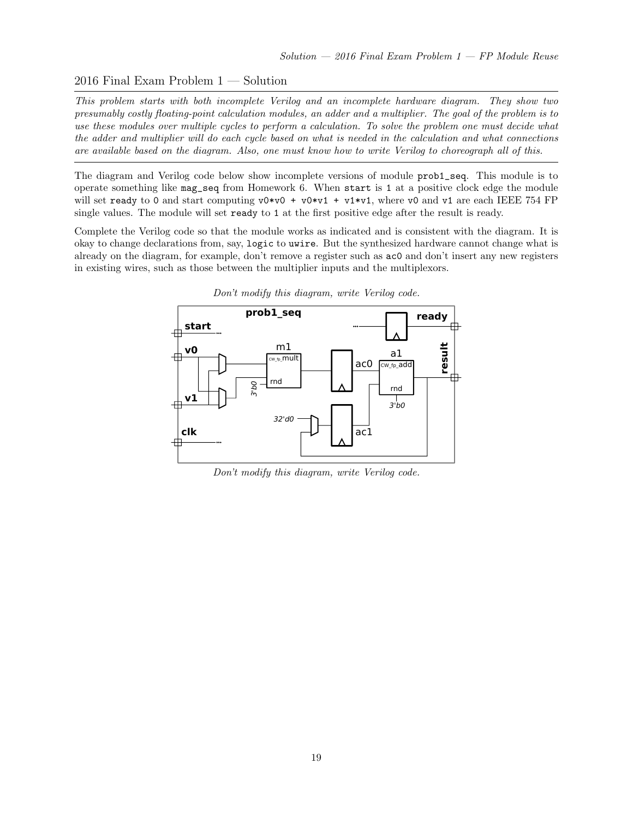# 2016 Final Exam Problem 1 — Solution

This problem starts with both incomplete Verilog and an incomplete hardware diagram. They show two presumably costly floating-point calculation modules, an adder and a multiplier. The goal of the problem is to use these modules over multiple cycles to perform a calculation. To solve the problem one must decide what the adder and multiplier will do each cycle based on what is needed in the calculation and what connections are available based on the diagram. Also, one must know how to write Verilog to choreograph all of this.

The diagram and Verilog code below show incomplete versions of module prob1\_seq. This module is to operate something like mag\_seq from Homework 6. When start is 1 at a positive clock edge the module will set ready to 0 and start computing  $v0*v0 + v0*v1 + v1*v1$ , where v0 and v1 are each IEEE 754 FP single values. The module will set ready to 1 at the first positive edge after the result is ready.

Complete the Verilog code so that the module works as indicated and is consistent with the diagram. It is okay to change declarations from, say, logic to uwire. But the synthesized hardware cannot change what is already on the diagram, for example, don't remove a register such as ac0 and don't insert any new registers in existing wires, such as those between the multiplier inputs and the multiplexors.



Don't modify this diagram, write Verilog code.

Don't modify this diagram, write Verilog code.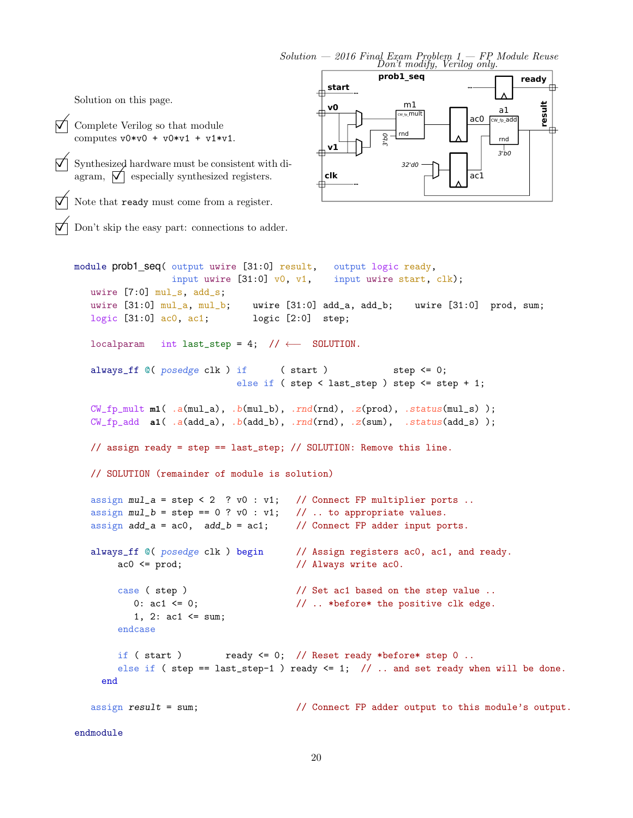$Solution - 2016$  Final Exam Problem  $1 - FP$  Module Reuse<br>Don't modify, Verilog only.

Solution on this page.

endmodule

 $\boxed{\bigvee}$  Complete Verilog so that module<br>computes  $v0*v0 + v0*v1 + v1*v1.$ 

 $\boxed{\bigvee}$  Synthesized hardware must be consistent with diagram,  $\boxed{\bigvee}$  especially synthesized registers. agram,  $\boxed{\phantom{0}}$  especially synthesized registers.

Note that ready must come from a register.

Don't skip the easy part: connections to adder.

```
module prob1_seq( output uwire [31:0] result, output logic ready,
                input uwire [31:0] v0, v1, input uwire start, clk);
  uwire [7:0] mul_s, add_s;
  uwire [31:0] mul_a, mul_b; uwire [31:0] add_a, add_b; uwire [31:0] prod, sum;
  logic [31:0] ac0, ac1; logic [2:0] step;
  localparam int last_step = 4; // \leftarrow SOLUTION.
  always_ff @( posedge clk ) if ( start ) step \leq 0;else if ( step < last_step ) step <= step + 1;
  CW_fp_mult m1( .a(mul_a), .b(mul_b), .rnd(rnd), .z(prod), .status(mul_s) );
  CW\_fp\_add a1( .a(add\_a), .b(add\_b), rnd(rnd), .z(sum), .status(add\_s) );
  // assign ready = step == last_step; // SOLUTION: Remove this line.
  // SOLUTION (remainder of module is solution)
  assign mul_a = step < 2 ? v0 : v1; // Connect FP multiplier ports ..
  assign mul_b = step == 0 ? v0 : v1; // .. to appropriate values.
  assign add_a = ac0, add_b = ac1; // Connect FP adder input ports.
  always_ff ©( posedge clk ) begin // Assign registers ac0, ac1, and ready.
       ac0 \leq prod; // Always write ac0.
       case ( step ) \frac{1}{2} // Set ac1 based on the step value ..
          0: ac1 \leq 0; \frac{1}{2} ... *before* the positive clk edge.
          1, 2: \text{ac1} \leq \text{sum};
       endcase
       if ( start ) ready \leq 0; // Reset ready *before* step 0 ..
       else if ( step == last_step-1 ) ready \leq 1; // .. and set ready when will be done.
    end
  assign result = sum; // Connect FP adder output to this module's output.
```
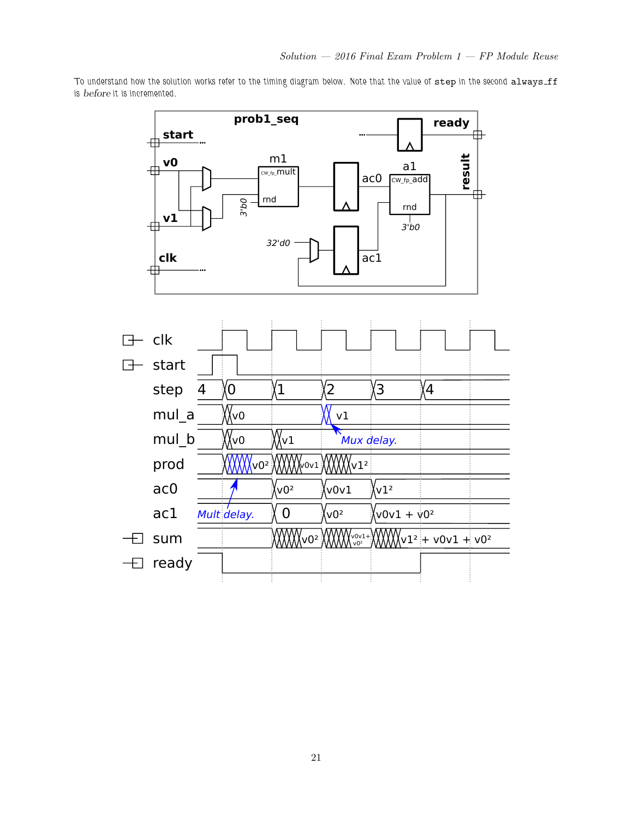To understand how the solution works refer to the timing diagram below. Note that the value of step in the second always\_ff is before it is incremented.

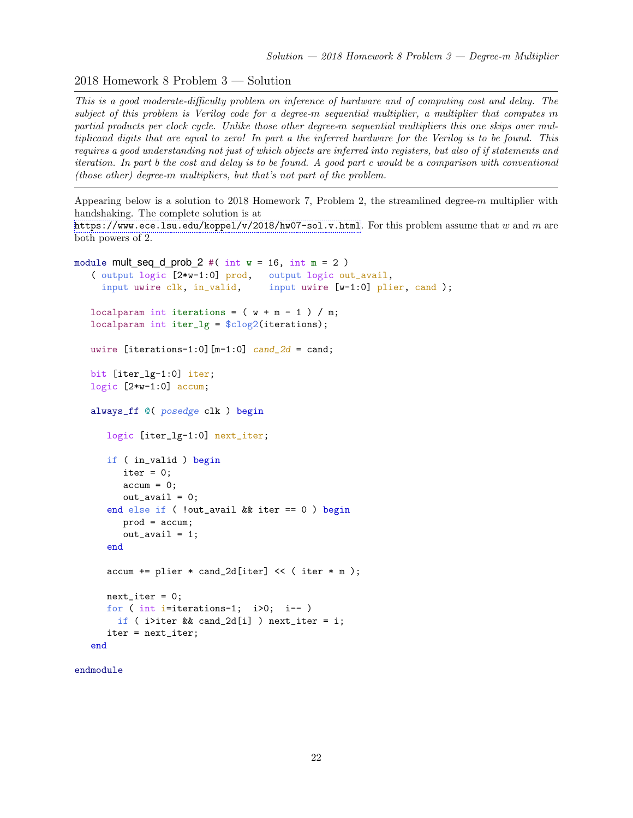2018 Homework 8 Problem 3 — Solution

This is a good moderate-difficulty problem on inference of hardware and of computing cost and delay. The subject of this problem is Verilog code for a degree-m sequential multiplier, a multiplier that computes m partial products per clock cycle. Unlike those other degree-m sequential multipliers this one skips over multiplicand digits that are equal to zero! In part a the inferred hardware for the Verilog is to be found. This requires a good understanding not just of which objects are inferred into registers, but also of if statements and iteration. In part b the cost and delay is to be found. A good part c would be a comparison with conventional (those other) degree-m multipliers, but that's not part of the problem.

Appearing below is a solution to 2018 Homework 7, Problem 2, the streamlined degree-m multiplier with handshaking. The complete solution is at

<https://www.ece.lsu.edu/koppel/v/2018/hw07-sol.v.html>. For this problem assume that w and m are both powers of 2.

```
module mult seq d prob 2 #( int w = 16, int m = 2)
   ( output logic [2*w-1:0] prod, output logic out_avail,
     input uwire clk, in_valid, input uwire [w-1:0] plier, cand );
   localparam int iterations = (w + m - 1) / m;
   localparam int iter_lg = $clog2(iterations);
  uwire [iterations-1:0] [m-1:0] cand_2d = cand;
  bit [iter_lg-1:0] iter;
   logic [2*w-1:0] accum;
   always_ff @( posedge clk ) begin
      logic [iter_lg-1:0] next_iter;
      if ( in_valid ) begin
         iter = 0;
         \text{accum} = 0;
         out<sub>_avail</sub> = 0;
      end else if ( !out_avail && iter == 0 ) begin
         prod = accum;
         out_avail = 1;
      end
      \text{accum} += plier * cand_2d[iter] << ( iter * m );
      next\_iter = 0;for ( int i=iterations-1; i>0; i-- )
        if ( i>iter && cand_2d[i] ) next_iter = i;
      iter = next_iter;
   end
```

```
endmodule
```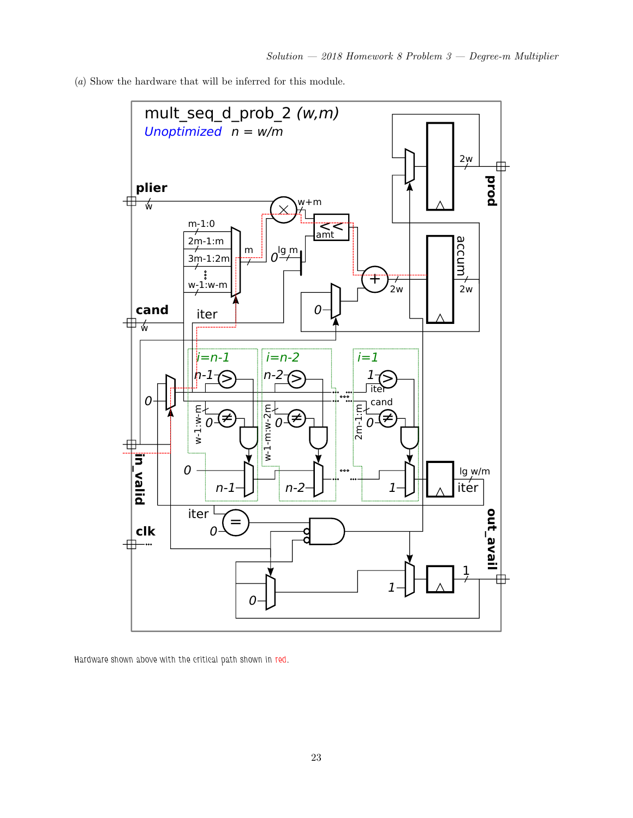(a) Show the hardware that will be inferred for this module.



Hardware shown above with the critical path shown in red.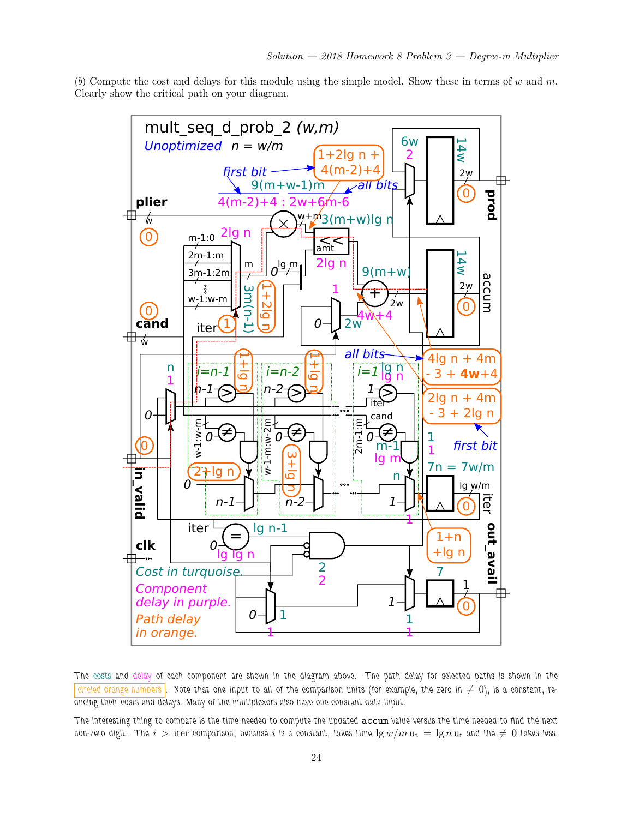(b) Compute the cost and delays for this module using the simple model. Show these in terms of w and m. Clearly show the critical path on your diagram.



The costs and delay of each component are shown in the diagram above. The path delay for selected paths is shown in the  $\vert$  eircled orange numbers  $\vert$ . Note that one input to all of the comparison units (for example, the zero in  $\neq$  0), is a constant, reducing their costs and delays. Many of the multiplexors also have one constant data input.

The interesting thing to compare is the time needed to compute the updated accum value versus the time needed to find the next non-zero digit. The  $i >$  iter comparison, because i is a constant, takes time  $\lg w/m u_t = \lg n u_t$  and the  $\neq 0$  takes less,